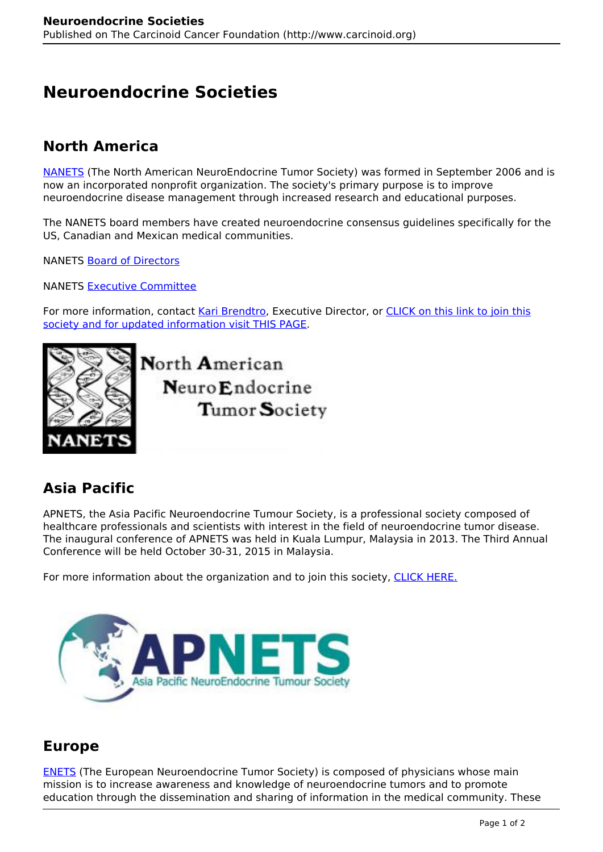# **Neuroendocrine Societies**

#### **North America**

[NANETS](https://www.nanets.net/) (The North American NeuroEndocrine Tumor Society) was formed in September 2006 and is now an incorporated nonprofit organization. The society's primary purpose is to improve neuroendocrine disease management through increased research and educational purposes.

The NANETS board members have created neuroendocrine consensus guidelines specifically for the US, Canadian and Mexican medical communities.

NANETS [Board of Directors](https://www.nanets.net/leadership#Board-of-Directors)

NANETS [Executive Committee](https://www.nanets.net/leadership#Executive-Committee)

For more information, contact [Kari Brendtro,](mailto:kari@nanets.net) Executive Director, or [CLICK on this link to join this](http://nanets.net/) [society and for updated information visit THIS PAGE.](http://nanets.net/)



North American Neuro Endocrine Tumor Society

### **Asia Pacific**

APNETS, the Asia Pacific Neuroendocrine Tumour Society, is a professional society composed of healthcare professionals and scientists with interest in the field of neuroendocrine tumor disease. The inaugural conference of APNETS was held in Kuala Lumpur, Malaysia in 2013. The Third Annual Conference will be held October 30-31, 2015 in Malaysia.

For more information about the organization and to join this society, [CLICK HERE.](http://apnets.org/)



#### **Europe**

[ENETS](http://www.enets.org/) (The European Neuroendocrine Tumor Society) is composed of physicians whose main mission is to increase awareness and knowledge of neuroendocrine tumors and to promote education through the dissemination and sharing of information in the medical community. These